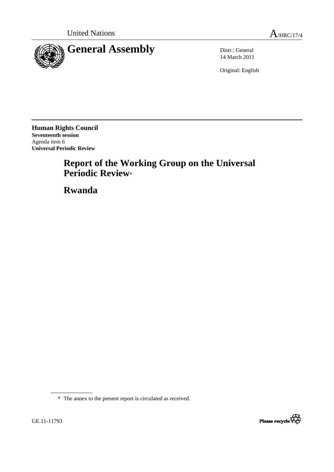

14 March 2011

Original: English

**Human Rights Council Seventeenth session**  Agenda item 6 **Universal Periodic Review** 

# **Report of the Working Group on the Universal Periodic Review**\*

 **Rwanda** 



<sup>\*</sup> The annex to the present report is circulated as received.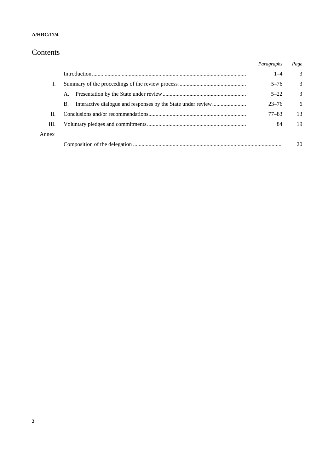# Contents

|       |    | Paragraphs | Page |
|-------|----|------------|------|
|       |    | $1 - 4$    | 3    |
|       |    | $5 - 76$   | 3    |
|       | A. | $5 - 22$   | 3    |
|       | B. | $23 - 76$  | 6    |
| H.    |    | $77 - 83$  | 13   |
| Ш.    |    | 84         | 19   |
| Annex |    |            |      |
|       |    |            |      |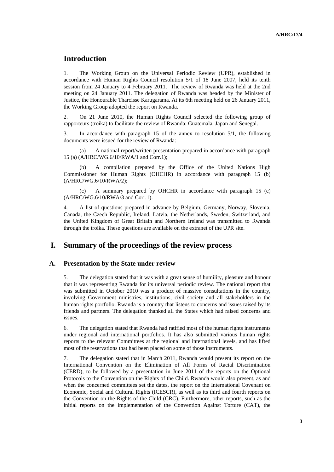## **Introduction**

1. The Working Group on the Universal Periodic Review (UPR), established in accordance with Human Rights Council resolution 5/1 of 18 June 2007, held its tenth session from 24 January to 4 February 2011. The review of Rwanda was held at the 2nd meeting on 24 January 2011. The delegation of Rwanda was headed by the Minister of Justice, the Honourable Tharcisse Karugarama. At its 6th meeting held on 26 January 2011, the Working Group adopted the report on Rwanda.

2. On 21 June 2010, the Human Rights Council selected the following group of rapporteurs (troika) to facilitate the review of Rwanda: Guatemala, Japan and Senegal.

3. In accordance with paragraph 15 of the annex to resolution 5/1, the following documents were issued for the review of Rwanda:

 (a) A national report/written presentation prepared in accordance with paragraph 15 (a) (A/HRC/WG.6/10/RWA/1 and Corr.1);

 (b) A compilation prepared by the Office of the United Nations High Commissioner for Human Rights (OHCHR) in accordance with paragraph 15 (b) (A/HRC/WG.6/10/RWA/2);

 (c) A summary prepared by OHCHR in accordance with paragraph 15 (c) (A/HRC/WG.6/10/RWA/3 and Corr.1).

4. A list of questions prepared in advance by Belgium, Germany, Norway, Slovenia, Canada, the Czech Republic, Ireland, Latvia, the Netherlands, Sweden, Switzerland, and the United Kingdom of Great Britain and Northern Ireland was transmitted to Rwanda through the troika. These questions are available on the extranet of the UPR site.

## **I. Summary of the proceedings of the review process**

#### **A. Presentation by the State under review**

5. The delegation stated that it was with a great sense of humility, pleasure and honour that it was representing Rwanda for its universal periodic review. The national report that was submitted in October 2010 was a product of massive consultations in the country, involving Government ministries, institutions, civil society and all stakeholders in the human rights portfolio. Rwanda is a country that listens to concerns and issues raised by its friends and partners. The delegation thanked all the States which had raised concerns and issues.

6. The delegation stated that Rwanda had ratified most of the human rights instruments under regional and international portfolios. It has also submitted various human rights reports to the relevant Committees at the regional and international levels, and has lifted most of the reservations that had been placed on some of those instruments.

7. The delegation stated that in March 2011, Rwanda would present its report on the International Convention on the Elimination of All Forms of Racial Discrimination (CERD), to be followed by a presentation in June 2011 of the reports on the Optional Protocols to the Convention on the Rights of the Child. Rwanda would also present, as and when the concerned committees set the dates, the report on the International Covenant on Economic, Social and Cultural Rights (ICESCR), as well as its third and fourth reports on the Convention on the Rights of the Child (CRC). Furthermore, other reports, such as the initial reports on the implementation of the Convention Against Torture (CAT), the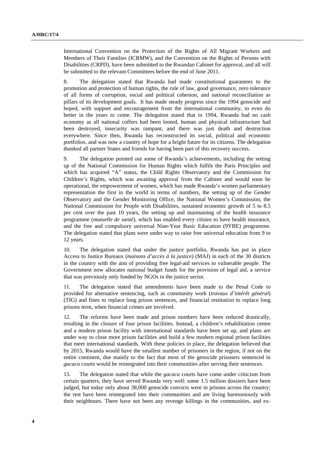International Convention on the Protection of the Rights of All Migrant Workers and Members of Their Families (ICRMW), and the Convention on the Rights of Persons with Disabilities (CRPD), have been submitted to the Rwandan Cabinet for approval, and all will be submitted to the relevant Committees before the end of June 2011.

8. The delegation stated that Rwanda had made constitutional guarantees to the promotion and protection of human rights, the rule of law, good governance, zero tolerance of all forms of corruption, social and political cohesion, and national reconciliation as pillars of its development goals. It has made steady progress since the 1994 genocide and hoped, with support and encouragement from the international community, to even do better in the years to come. The delegation stated that in 1994, Rwanda had no cash economy as all national coffers had been looted, human and physical infrastructure had been destroyed, insecurity was rampant, and there was just death and destruction everywhere. Since then, Rwanda has reconstructed its social, political and economic portfolios, and was now a country of hope for a bright future for its citizens. The delegation thanked all partner States and friends for having been part of this recovery success.

9. The delegation pointed out some of Rwanda's achievements, including the setting up of the National Commission for Human Rights which fulfils the Paris Principles and which has acquired "A" status, the Child Rights Observatory and the Commission for Children's Rights, which was awaiting approval from the Cabinet and would soon be operational, the empowerment of women, which has made Rwanda's women parliamentary representation the first in the world in terms of numbers, the setting up of the Gender Observatory and the Gender Monitoring Office, the National Women's Commission, the National Commission for People with Disabilities, sustained economic growth of 5 to 8.5 per cent over the past 10 years, the setting up and maintaining of the health insurance programme (*mutuelle de santé*), which has enabled every citizen to have health insurance, and the free and compulsory universal Nine-Year Basic Education (9YBE) programme. The delegation stated that plans were under way to raise free universal education from 9 to 12 years.

10. The delegation stated that under the justice portfolio, Rwanda has put in place Access to Justice Bureaux (*maisons d'accès à la justice*) (MAJ) in each of the 30 districts in the country with the aim of providing free legal-aid services to vulnerable people. The Government now allocates national budget funds for the provision of legal aid, a service that was previously only funded by NGOs in the justice sector.

11. The delegation stated that amendments have been made to the Penal Code to provided for alternative sentencing, such as community work (*travaux d'intérêt général*) (TIG) and fines to replace long prison sentences, and financial restitution to replace long prisons term, when financial crimes are involved.

12. The reforms have been made and prison numbers have been reduced drastically, resulting in the closure of four prison facilities. Instead, a children's rehabilitation centre and a modern prison facility with international standards have been set up, and plans are under way to close more prison facilities and build a few modern regional prison facilities that meet international standards. With these policies in place, the delegation believed that by 2015, Rwanda would have the smallest number of prisoners in the region, if not on the entire continent, due mainly to the fact that most of the genocide prisoners sentenced in *gacaca* courts would be reintegrated into their communities after serving their sentences.

13. The delegation stated that while the *gacaca* courts have come under criticism from certain quarters, they have served Rwanda very well: some 1.5 million dossiers have been judged, but today only about 38,000 genocide convicts were in prisons across the country; the rest have been reintegrated into their communities and are living harmoniously with their neighbours. There have not been any revenge killings in the communities, and ex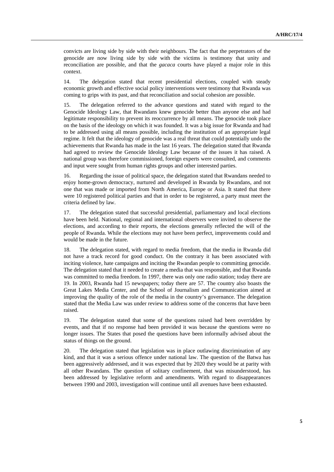convicts are living side by side with their neighbours. The fact that the perpetrators of the genocide are now living side by side with the victims is testimony that unity and reconciliation are possible, and that the *gacaca* courts have played a major role in this context.

14. The delegation stated that recent presidential elections, coupled with steady economic growth and effective social policy interventions were testimony that Rwanda was coming to grips with its past, and that reconciliation and social cohesion are possible.

15. The delegation referred to the advance questions and stated with regard to the Genocide Ideology Law, that Rwandans knew genocide better than anyone else and had legitimate responsibility to prevent its reoccurrence by all means. The genocide took place on the basis of the ideology on which it was founded. It was a big issue for Rwanda and had to be addressed using all means possible, including the institution of an appropriate legal regime. It felt that the ideology of genocide was a real threat that could potentially undo the achievements that Rwanda has made in the last 16 years. The delegation stated that Rwanda had agreed to review the Genocide Ideology Law because of the issues it has raised. A national group was therefore commissioned, foreign experts were consulted, and comments and input were sought from human rights groups and other interested parties.

16. Regarding the issue of political space, the delegation stated that Rwandans needed to enjoy home-grown democracy, nurtured and developed in Rwanda by Rwandans, and not one that was made or imported from North America, Europe or Asia. It stated that there were 10 registered political parties and that in order to be registered, a party must meet the criteria defined by law.

17. The delegation stated that successful presidential, parliamentary and local elections have been held. National, regional and international observers were invited to observe the elections, and according to their reports, the elections generally reflected the will of the people of Rwanda. While the elections may not have been perfect, improvements could and would be made in the future.

18. The delegation stated, with regard to media freedom, that the media in Rwanda did not have a track record for good conduct. On the contrary it has been associated with inciting violence, hate campaigns and inciting the Rwandan people to committing genocide. The delegation stated that it needed to create a media that was responsible, and that Rwanda was committed to media freedom. In 1997, there was only one radio station; today there are 19. In 2003, Rwanda had 15 newspapers; today there are 57. The country also boasts the Great Lakes Media Center, and the School of Journalism and Communication aimed at improving the quality of the role of the media in the country's governance. The delegation stated that the Media Law was under review to address some of the concerns that have been raised.

19. The delegation stated that some of the questions raised had been overridden by events, and that if no response had been provided it was because the questions were no longer issues. The States that posed the questions have been informally advised about the status of things on the ground.

20. The delegation stated that legislation was in place outlawing discrimination of any kind, and that it was a serious offence under national law. The question of the Batwa has been aggressively addressed, and it was expected that by 2020 they would be at parity with all other Rwandans. The question of solitary confinement, that was misunderstood, has been addressed by legislative reform and amendments. With regard to disappearances between 1990 and 2003, investigation will continue until all avenues have been exhausted.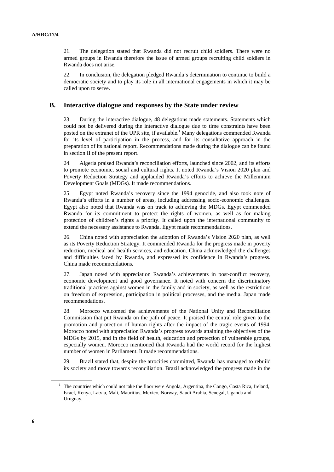21. The delegation stated that Rwanda did not recruit child soldiers. There were no armed groups in Rwanda therefore the issue of armed groups recruiting child soldiers in Rwanda does not arise.

22. In conclusion, the delegation pledged Rwanda's determination to continue to build a democratic society and to play its role in all international engagements in which it may be called upon to serve.

#### **B. Interactive dialogue and responses by the State under review**

23. During the interactive dialogue, 48 delegations made statements. Statements which could not be delivered during the interactive dialogue due to time constraints have been posted on the extranet of the UPR site, if available.<sup>1</sup> Many delegations commended Rwanda for its level of participation in the process, and for its consultative approach in the preparation of its national report. Recommendations made during the dialogue can be found in section II of the present report.

24. Algeria praised Rwanda's reconciliation efforts, launched since 2002, and its efforts to promote economic, social and cultural rights. It noted Rwanda's Vision 2020 plan and Poverty Reduction Strategy and applauded Rwanda's efforts to achieve the Millennium Development Goals (MDGs). It made recommendations.

25. Egypt noted Rwanda's recovery since the 1994 genocide, and also took note of Rwanda's efforts in a number of areas, including addressing socio-economic challenges. Egypt also noted that Rwanda was on track to achieving the MDGs. Egypt commended Rwanda for its commitment to protect the rights of women, as well as for making protection of children's rights a priority. It called upon the international community to extend the necessary assistance to Rwanda. Egypt made recommendations.

26. China noted with appreciation the adoption of Rwanda's Vision 2020 plan, as well as its Poverty Reduction Strategy. It commended Rwanda for the progress made in poverty reduction, medical and health services, and education. China acknowledged the challenges and difficulties faced by Rwanda, and expressed its confidence in Rwanda's progress. China made recommendations.

27. Japan noted with appreciation Rwanda's achievements in post-conflict recovery, economic development and good governance. It noted with concern the discriminatory traditional practices against women in the family and in society, as well as the restrictions on freedom of expression, participation in political processes, and the media. Japan made recommendations.

28. Morocco welcomed the achievements of the National Unity and Reconciliation Commission that put Rwanda on the path of peace. It praised the central role given to the promotion and protection of human rights after the impact of the tragic events of 1994. Morocco noted with appreciation Rwanda's progress towards attaining the objectives of the MDGs by 2015, and in the field of health, education and protection of vulnerable groups, especially women. Morocco mentioned that Rwanda had the world record for the highest number of women in Parliament. It made recommendations.

29. Brazil stated that, despite the atrocities committed, Rwanda has managed to rebuild its society and move towards reconciliation. Brazil acknowledged the progress made in the

<sup>&</sup>lt;sup>1</sup> The countries which could not take the floor were Angola, Argentina, the Congo, Costa Rica, Ireland, Israel, Kenya, Latvia, Mali, Mauritius, Mexico, Norway, Saudi Arabia, Senegal, Uganda and Uruguay.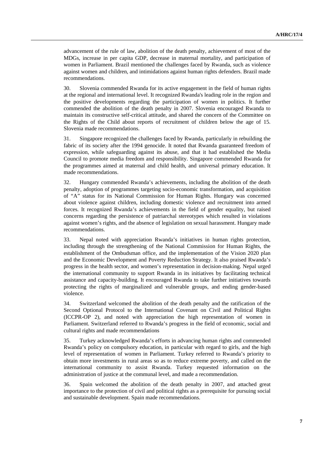advancement of the rule of law, abolition of the death penalty, achievement of most of the MDGs, increase in per capita GDP, decrease in maternal mortality, and participation of women in Parliament. Brazil mentioned the challenges faced by Rwanda, such as violence against women and children, and intimidations against human rights defenders. Brazil made recommendations.

30. Slovenia commended Rwanda for its active engagement in the field of human rights at the regional and international level. It recognized Rwanda's leading role in the region and the positive developments regarding the participation of women in politics. It further commended the abolition of the death penalty in 2007. Slovenia encouraged Rwanda to maintain its constructive self-critical attitude, and shared the concern of the Committee on the Rights of the Child about reports of recruitment of children below the age of 15. Slovenia made recommendations.

31. Singapore recognized the challenges faced by Rwanda, particularly in rebuilding the fabric of its society after the 1994 genocide. It noted that Rwanda guaranteed freedom of expression, while safeguarding against its abuse, and that it had established the Media Council to promote media freedom and responsibility. Singapore commended Rwanda for the programmes aimed at maternal and child health, and universal primary education. It made recommendations.

32. Hungary commended Rwanda's achievements, including the abolition of the death penalty, adoption of programmes targeting socio-economic transformation, and acquisition of "A" status for its National Commission for Human Rights. Hungary was concerned about violence against children, including domestic violence and recruitment into armed forces. It recognized Rwanda's achievements in the field of gender equality, but raised concerns regarding the persistence of patriarchal stereotypes which resulted in violations against women's rights, and the absence of legislation on sexual harassment. Hungary made recommendations.

33. Nepal noted with appreciation Rwanda's initiatives in human rights protection, including through the strengthening of the National Commission for Human Rights, the establishment of the Ombudsman office, and the implementation of the Vision 2020 plan and the Economic Development and Poverty Reduction Strategy. It also praised Rwanda's progress in the health sector, and women's representation in decision-making. Nepal urged the international community to support Rwanda in its initiatives by facilitating technical assistance and capacity-building. It encouraged Rwanda to take further initiatives towards protecting the rights of marginalized and vulnerable groups, and ending gender-based violence.

34. Switzerland welcomed the abolition of the death penalty and the ratification of the Second Optional Protocol to the International Covenant on Civil and Political Rights (ICCPR-OP 2), and noted with appreciation the high representation of women in Parliament. Switzerland referred to Rwanda's progress in the field of economic, social and cultural rights and made recommendations

35. Turkey acknowledged Rwanda's efforts in advancing human rights and commended Rwanda's policy on compulsory education, in particular with regard to girls, and the high level of representation of women in Parliament. Turkey referred to Rwanda's priority to obtain more investments in rural areas so as to reduce extreme poverty, and called on the international community to assist Rwanda. Turkey requested information on the administration of justice at the communal level, and made a recommendation.

36. Spain welcomed the abolition of the death penalty in 2007, and attached great importance to the protection of civil and political rights as a prerequisite for pursuing social and sustainable development. Spain made recommendations.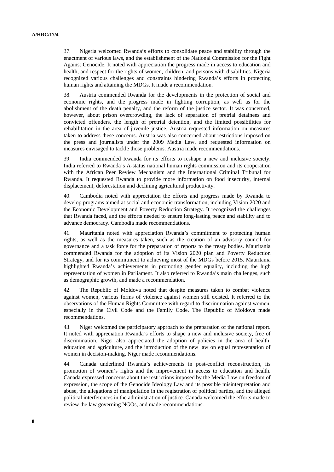37. Nigeria welcomed Rwanda's efforts to consolidate peace and stability through the enactment of various laws, and the establishment of the National Commission for the Fight Against Genocide. It noted with appreciation the progress made in access to education and health, and respect for the rights of women, children, and persons with disabilities. Nigeria recognized various challenges and constraints hindering Rwanda's efforts in protecting human rights and attaining the MDGs. It made a recommendation.

38. Austria commended Rwanda for the developments in the protection of social and economic rights, and the progress made in fighting corruption, as well as for the abolishment of the death penalty, and the reform of the justice sector. It was concerned, however, about prison overcrowding, the lack of separation of pretrial detainees and convicted offenders, the length of pretrial detention, and the limited possibilities for rehabilitation in the area of juvenile justice. Austria requested information on measures taken to address these concerns. Austria was also concerned about restrictions imposed on the press and journalists under the 2009 Media Law, and requested information on measures envisaged to tackle those problems. Austria made recommendations.

39. India commended Rwanda for its efforts to reshape a new and inclusive society. India referred to Rwanda's A-status national human rights commission and its cooperation with the African Peer Review Mechanism and the International Criminal Tribunal for Rwanda. It requested Rwanda to provide more information on food insecurity, internal displacement, deforestation and declining agricultural productivity.

40. Cambodia noted with appreciation the efforts and progress made by Rwanda to develop programs aimed at social and economic transformation, including Vision 2020 and the Economic Development and Poverty Reduction Strategy. It recognized the challenges that Rwanda faced, and the efforts needed to ensure long-lasting peace and stability and to advance democracy. Cambodia made recommendations.

41. Mauritania noted with appreciation Rwanda's commitment to protecting human rights, as well as the measures taken, such as the creation of an advisory council for governance and a task force for the preparation of reports to the treaty bodies. Mauritania commended Rwanda for the adoption of its Vision 2020 plan and Poverty Reduction Strategy, and for its commitment to achieving most of the MDGs before 2015. Mauritania highlighted Rwanda's achievements in promoting gender equality, including the high representation of women in Parliament. It also referred to Rwanda's main challenges, such as demographic growth, and made a recommendation.

42. The Republic of Moldova noted that despite measures taken to combat violence against women, various forms of violence against women still existed. It referred to the observations of the Human Rights Committee with regard to discrimination against women, especially in the Civil Code and the Family Code. The Republic of Moldova made recommendations.

43. Niger welcomed the participatory approach to the preparation of the national report. It noted with appreciation Rwanda's efforts to shape a new and inclusive society, free of discrimination. Niger also appreciated the adoption of policies in the area of health, education and agriculture, and the introduction of the new law on equal representation of women in decision-making. Niger made recommendations.

44. Canada underlined Rwanda's achievements in post-conflict reconstruction, its promotion of women's rights and the improvement in access to education and health. Canada expressed concerns about the restrictions imposed by the Media Law on freedom of expression, the scope of the Genocide Ideology Law and its possible misinterpretation and abuse, the allegations of manipulation in the registration of political parties, and the alleged political interferences in the administration of justice. Canada welcomed the efforts made to review the law governing NGOs, and made recommendations.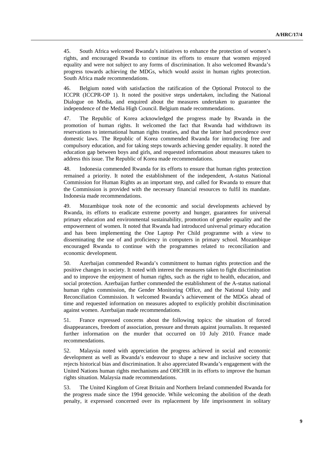45. South Africa welcomed Rwanda's initiatives to enhance the protection of women's rights, and encouraged Rwanda to continue its efforts to ensure that women enjoyed equality and were not subject to any forms of discrimination. It also welcomed Rwanda's progress towards achieving the MDGs, which would assist in human rights protection. South Africa made recommendations.

46. Belgium noted with satisfaction the ratification of the Optional Protocol to the ICCPR (ICCPR-OP 1). It noted the positive steps undertaken, including the National Dialogue on Media, and enquired about the measures undertaken to guarantee the independence of the Media High Council. Belgium made recommendations.

47. The Republic of Korea acknowledged the progress made by Rwanda in the promotion of human rights. It welcomed the fact that Rwanda had withdrawn its reservations to international human rights treaties, and that the latter had precedence over domestic laws. The Republic of Korea commended Rwanda for introducing free and compulsory education, and for taking steps towards achieving gender equality. It noted the education gap between boys and girls, and requested information about measures taken to address this issue. The Republic of Korea made recommendations.

48. Indonesia commended Rwanda for its efforts to ensure that human rights protection remained a priority. It noted the establishment of the independent, A-status National Commission for Human Rights as an important step, and called for Rwanda to ensure that the Commission is provided with the necessary financial resources to fulfil its mandate. Indonesia made recommendations.

49. Mozambique took note of the economic and social developments achieved by Rwanda, its efforts to eradicate extreme poverty and hunger, guarantees for universal primary education and environmental sustainability, promotion of gender equality and the empowerment of women. It noted that Rwanda had introduced universal primary education and has been implementing the One Laptop Per Child programme with a view to disseminating the use of and proficiency in computers in primary school. Mozambique encouraged Rwanda to continue with the programmes related to reconciliation and economic development.

50. Azerbaijan commended Rwanda's commitment to human rights protection and the positive changes in society. It noted with interest the measures taken to fight discrimination and to improve the enjoyment of human rights, such as the right to health, education, and social protection. Azerbaijan further commended the establishment of the A-status national human rights commission, the Gender Monitoring Office, and the National Unity and Reconciliation Commission. It welcomed Rwanda's achievement of the MDGs ahead of time and requested information on measures adopted to explicitly prohibit discrimination against women. Azerbaijan made recommendations.

51. France expressed concerns about the following topics: the situation of forced disappearances, freedom of association, pressure and threats against journalists. It requested further information on the murder that occurred on 10 July 2010. France made recommendations.

52. Malaysia noted with appreciation the progress achieved in social and economic development as well as Rwanda's endeavour to shape a new and inclusive society that rejects historical bias and discrimination. It also appreciated Rwanda's engagement with the United Nations human rights mechanisms and OHCHR in its efforts to improve the human rights situation. Malaysia made recommendations.

53. The United Kingdom of Great Britain and Northern Ireland commended Rwanda for the progress made since the 1994 genocide. While welcoming the abolition of the death penalty, it expressed concerned over its replacement by life imprisonment in solitary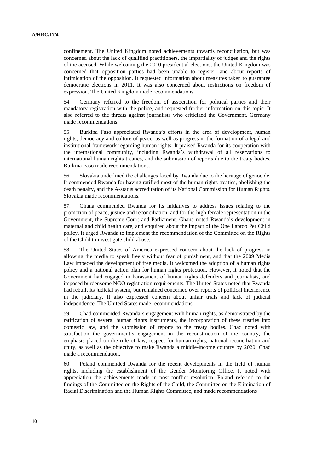confinement. The United Kingdom noted achievements towards reconciliation, but was concerned about the lack of qualified practitioners, the impartiality of judges and the rights of the accused. While welcoming the 2010 presidential elections, the United Kingdom was concerned that opposition parties had been unable to register, and about reports of intimidation of the opposition. It requested information about measures taken to guarantee democratic elections in 2011. It was also concerned about restrictions on freedom of expression. The United Kingdom made recommendations.

54. Germany referred to the freedom of association for political parties and their mandatory registration with the police, and requested further information on this topic. It also referred to the threats against journalists who criticized the Government. Germany made recommendations.

55. Burkina Faso appreciated Rwanda's efforts in the area of development, human rights, democracy and culture of peace, as well as progress in the formation of a legal and institutional framework regarding human rights. It praised Rwanda for its cooperation with the international community, including Rwanda's withdrawal of all reservations to international human rights treaties, and the submission of reports due to the treaty bodies. Burkina Faso made recommendations.

56. Slovakia underlined the challenges faced by Rwanda due to the heritage of genocide. It commended Rwanda for having ratified most of the human rights treaties, abolishing the death penalty, and the A-status accreditation of its National Commission for Human Rights. Slovakia made recommendations.

57. Ghana commended Rwanda for its initiatives to address issues relating to the promotion of peace, justice and reconciliation, and for the high female representation in the Government, the Supreme Court and Parliament. Ghana noted Rwanda's development in maternal and child health care, and enquired about the impact of the One Laptop Per Child policy. It urged Rwanda to implement the recommendation of the Committee on the Rights of the Child to investigate child abuse.

58. The United States of America expressed concern about the lack of progress in allowing the media to speak freely without fear of punishment, and that the 2009 Media Law impeded the development of free media. It welcomed the adoption of a human rights policy and a national action plan for human rights protection. However, it noted that the Government had engaged in harassment of human rights defenders and journalists, and imposed burdensome NGO registration requirements. The United States noted that Rwanda had rebuilt its judicial system, but remained concerned over reports of political interference in the judiciary. It also expressed concern about unfair trials and lack of judicial independence. The United States made recommendations.

59. Chad commended Rwanda's engagement with human rights, as demonstrated by the ratification of several human rights instruments, the incorporation of these treaties into domestic law, and the submission of reports to the treaty bodies. Chad noted with satisfaction the government's engagement in the reconstruction of the country, the emphasis placed on the rule of law, respect for human rights, national reconciliation and unity, as well as the objective to make Rwanda a middle-income country by 2020. Chad made a recommendation.

60. Poland commended Rwanda for the recent developments in the field of human rights, including the establishment of the Gender Monitoring Office. It noted with appreciation the achievements made in post-conflict resolution. Poland referred to the findings of the Committee on the Rights of the Child, the Committee on the Elimination of Racial Discrimination and the Human Rights Committee, and made recommendations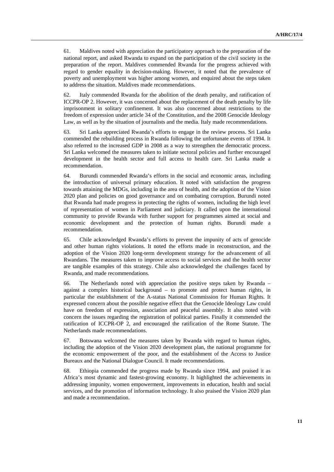61. Maldives noted with appreciation the participatory approach to the preparation of the national report, and asked Rwanda to expand on the participation of the civil society in the preparation of the report. Maldives commended Rwanda for the progress achieved with regard to gender equality in decision-making. However, it noted that the prevalence of poverty and unemployment was higher among women, and enquired about the steps taken to address the situation. Maldives made recommendations.

62. Italy commended Rwanda for the abolition of the death penalty, and ratification of ICCPR-OP 2. However, it was concerned about the replacement of the death penalty by life imprisonment in solitary confinement. It was also concerned about restrictions to the freedom of expression under article 34 of the Constitution, and the 2008 Genocide Ideology Law, as well as by the situation of journalists and the media. Italy made recommendations.

63. Sri Lanka appreciated Rwanda's efforts to engage in the review process. Sri Lanka commended the rebuilding process in Rwanda following the unfortunate events of 1994. It also referred to the increased GDP in 2008 as a way to strengthen the democratic process. Sri Lanka welcomed the measures taken to initiate sectoral policies and further encouraged development in the health sector and full access to health care. Sri Lanka made a recommendation.

64. Burundi commended Rwanda's efforts in the social and economic areas, including the introduction of universal primary education. It noted with satisfaction the progress towards attaining the MDGs, including in the area of health, and the adoption of the Vision 2020 plan and policies on good governance and on combating corruption. Burundi noted that Rwanda had made progress in protecting the rights of women, including the high level of representation of women in Parliament and judiciary. It called upon the international community to provide Rwanda with further support for programmes aimed at social and economic development and the protection of human rights. Burundi made a recommendation.

65. Chile acknowledged Rwanda's efforts to prevent the impunity of acts of genocide and other human rights violations. It noted the efforts made in reconstruction, and the adoption of the Vision 2020 long-term development strategy for the advancement of all Rwandans. The measures taken to improve access to social services and the health sector are tangible examples of this strategy. Chile also acknowledged the challenges faced by Rwanda, and made recommendations.

66. The Netherlands noted with appreciation the positive steps taken by Rwanda – against a complex historical background – to promote and protect human rights, in particular the establishment of the A-status National Commission for Human Rights. It expressed concern about the possible negative effect that the Genocide Ideology Law could have on freedom of expression, association and peaceful assembly. It also noted with concern the issues regarding the registration of political parties. Finally it commended the ratification of ICCPR-OP 2, and encouraged the ratification of the Rome Statute. The Netherlands made recommendations.

67. Botswana welcomed the measures taken by Rwanda with regard to human rights, including the adoption of the Vision 2020 development plan, the national programme for the economic empowerment of the poor, and the establishment of the Access to Justice Bureaux and the National Dialogue Council. It made recommendations.

68. Ethiopia commended the progress made by Rwanda since 1994, and praised it as Africa's most dynamic and fastest-growing economy. It highlighted the achievements in addressing impunity, women empowerment, improvements in education, health and social services, and the promotion of information technology. It also praised the Vision 2020 plan and made a recommendation.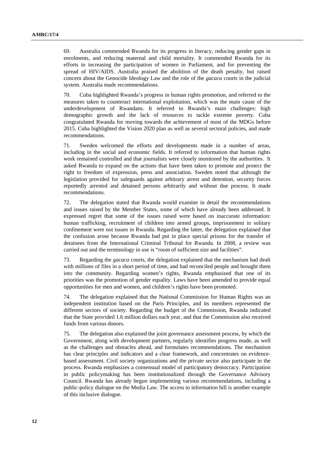69. Australia commended Rwanda for its progress in literacy, reducing gender gaps in enrolments, and reducing maternal and child mortality. It commended Rwanda for its efforts in increasing the participation of women in Parliament, and for preventing the spread of HIV/AIDS. Australia praised the abolition of the death penalty, but raised concern about the Genocide Ideology Law and the role of the *gacaca* courts in the judicial system. Australia made recommendations.

70. Cuba highlighted Rwanda's progress in human rights promotion, and referred to the measures taken to counteract international exploitation, which was the main cause of the underdevelopment of Rwandans. It referred to Rwanda's main challenges: high demographic growth and the lack of resources to tackle extreme poverty. Cuba congratulated Rwanda for moving towards the achievement of most of the MDGs before 2015. Cuba highlighted the Vision 2020 plan as well as several sectoral policies, and made recommendations.

71. Sweden welcomed the efforts and developments made in a number of areas, including in the social and economic fields. It referred to information that human rights work remained controlled and that journalists were closely monitored by the authorities. It asked Rwanda to expand on the actions that have been taken to promote and protect the right to freedom of expression, press and association. Sweden noted that although the legislation provided for safeguards against arbitrary arrest and detention, security forces reportedly arrested and detained persons arbitrarily and without due process. It made recommendations.

72. The delegation stated that Rwanda would examine in detail the recommendations and issues raised by the Member States, some of which have already been addressed. It expressed regret that some of the issues raised were based on inaccurate information: human trafficking, recruitment of children into armed groups, imprisonment in solitary confinement were not issues in Rwanda. Regarding the latter, the delegation explained that the confusion arose because Rwanda had put in place special prisons for the transfer of detainees from the International Criminal Tribunal for Rwanda. In 2008, a review was carried out and the terminology in use is "room of sufficient size and facilities".

73. Regarding the *gacaca* courts, the delegation explained that the mechanism had dealt with millions of files in a short period of time, and had reconciled people and brought them into the community. Regarding women's rights, Rwanda emphasized that one of its priorities was the promotion of gender equality. Laws have been amended to provide equal opportunities for men and women, and children's rights have been promoted.

74. The delegation explained that the National Commission for Human Rights was an independent institution based on the Paris Principles, and its members represented the different sectors of society. Regarding the budget of the Commission, Rwanda indicated that the State provided 1.6 million dollars each year, and that the Commission also received funds from various donors.

75. The delegation also explained the joint governance assessment process, by which the Government, along with development partners, regularly identifies progress made, as well as the challenges and obstacles ahead, and formulates recommendations. The mechanism has clear principles and indicators and a clear framework, and concentrates on evidencebased assessment. Civil society organizations and the private sector also participate in the process. Rwanda emphasizes a consensual model of participatory democracy. Participation in public policymaking has been institutionalized through the Governance Advisory Council. Rwanda has already begun implementing various recommendations, including a public-policy dialogue on the Media Law. The access to information bill is another example of this inclusive dialogue.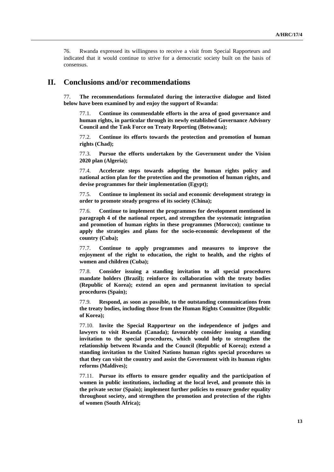76. Rwanda expressed its willingness to receive a visit from Special Rapporteurs and indicated that it would continue to strive for a democratic society built on the basis of consensus.

#### **II. Conclusions and/or recommendations**

77. **The recommendations formulated during the interactive dialogue and listed below have been examined by and enjoy the support of Rwanda:** 

77.1. **Continue its commendable efforts in the area of good governance and human rights, in particular through its newly established Governance Advisory Council and the Task Force on Treaty Reporting (Botswana);** 

77.2. **Continue its efforts towards the protection and promotion of human rights (Chad);** 

77.3. **Pursue the efforts undertaken by the Government under the Vision 2020 plan (Algeria);** 

77.4. **Accelerate steps towards adopting the human rights policy and national action plan for the protection and the promotion of human rights, and devise programmes for their implementation (Egypt);** 

77.5. **Continue to implement its social and economic development strategy in order to promote steady progress of its society (China);** 

77.6. **Continue to implement the programmes for development mentioned in paragraph 4 of the national report, and strengthen the systematic integration and promotion of human rights in these programmes (Morocco); continue to apply the strategies and plans for the socio-economic development of the country (Cuba);** 

77.7. **Continue to apply programmes and measures to improve the enjoyment of the right to education, the right to health, and the rights of women and children (Cuba);** 

77.8. **Consider issuing a standing invitation to all special procedures mandate holders (Brazil); reinforce its collaboration with the treaty bodies (Republic of Korea); extend an open and permanent invitation to special procedures (Spain);** 

77.9. **Respond, as soon as possible, to the outstanding communications from the treaty bodies, including those from the Human Rights Committee (Republic of Korea);** 

77.10. **Invite the Special Rapporteur on the independence of judges and lawyers to visit Rwanda (Canada); favourably consider issuing a standing invitation to the special procedures, which would help to strengthen the relationship between Rwanda and the Council (Republic of Korea); extend a standing invitation to the United Nations human rights special procedures so that they can visit the country and assist the Government with its human rights reforms (Maldives);** 

77.11. **Pursue its efforts to ensure gender equality and the participation of women in public institutions, including at the local level, and promote this in the private sector (Spain); implement further policies to ensure gender equality throughout society, and strengthen the promotion and protection of the rights of women (South Africa);**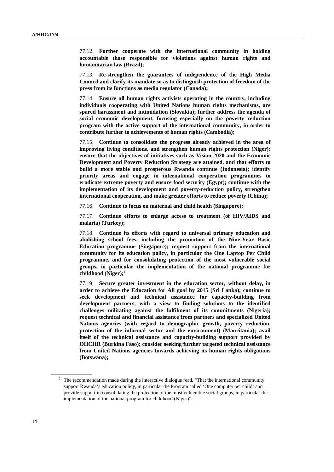77.12. **Further cooperate with the international community in holding accountable those responsible for violations against human rights and humanitarian law (Brazil);** 

77.13. **Re-strengthen the guarantees of independence of the High Media Council and clarify its mandate so as to distinguish protection of freedom of the press from its functions as media regulator (Canada);** 

77.14. **Ensure all human rights activists operating in the country, including individuals cooperating with United Nations human rights mechanisms, are spared harassment and intimidation (Slovakia); further address the agenda of social economic development, focusing especially on the poverty reduction program with the active support of the international community, in order to contribute further to achievements of human rights (Cambodia);** 

77.15. **Continue to consolidate the progress already achieved in the area of improving living conditions, and strengthen human rights protection (Niger); ensure that the objectives of initiatives such as Vision 2020 and the Economic Development and Poverty Reduction Strategy are attained, and that efforts to build a more stable and prosperous Rwanda continue (Indonesia); identify priority areas and engage in international cooperation programmes to eradicate extreme poverty and ensure food security (Egypt); continue with the implementation of its development and poverty-reduction policy, strengthen international cooperation, and make greater efforts to reduce poverty (China);** 

77.16. **Continue to focus on maternal and child health (Singapore);** 

77.17. **Continue efforts to enlarge access to treatment (of HIV/AIDS and malaria) (Turkey);** 

77.18. **Continue its efforts with regard to universal primary education and abolishing school fees, including the promotion of the Nine-Year Basic Education programme (Singapore); request support from the international community for its education policy, in particular the One Laptop Per Child programme, and for consolidating protection of the most vulnerable social groups, in particular the implementation of the national programme for childhood (Niger);2**

77.19. **Secure greater investment in the education sector, without delay, in order to achieve the Education for All goal by 2015 (Sri Lanka); continue to seek development and technical assistance for capacity-building from development partners, with a view to finding solutions to the identified challenges militating against the fulfilment of its commitments (Nigeria); request technical and financial assistance from partners and specialized United Nations agencies (with regard to demographic growth, poverty reduction, protection of the informal sector and the environment) (Mauritania); avail itself of the technical assistance and capacity-building support provided by OHCHR (Burkina Faso); consider seeking further targeted technical assistance from United Nations agencies towards achieving its human rights obligations (Botswana);** 

<sup>&</sup>lt;sup>2</sup> The recommendation made during the interactive dialogue read, "That the international community support Rwanda's education policy, in particular the Program called 'One computer per child' and provide support in consolidating the protection of the most vulnerable social groups, in particular the implementation of the national program for childhood (Niger)".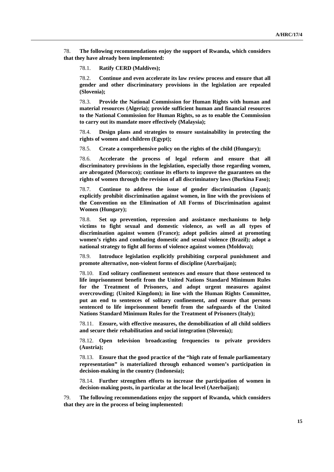78. **The following recommendations enjoy the support of Rwanda, which considers that they have already been implemented:** 

78.1. **Ratify CERD (Maldives);** 

78.2. **Continue and even accelerate its law review process and ensure that all gender and other discriminatory provisions in the legislation are repealed (Slovenia);** 

78.3. **Provide the National Commission for Human Rights with human and material resources (Algeria); provide sufficient human and financial resources to the National Commission for Human Rights, so as to enable the Commission to carry out its mandate more effectively (Malaysia);** 

78.4. **Design plans and strategies to ensure sustainability in protecting the rights of women and children (Egypt);** 

78.5. **Create a comprehensive policy on the rights of the child (Hungary);** 

78.6. **Accelerate the process of legal reform and ensure that all discriminatory provisions in the legislation, especially those regarding women, are abrogated (Morocco); continue its efforts to improve the guarantees on the rights of women through the revision of all discriminatory laws (Burkina Faso);** 

78.7. **Continue to address the issue of gender discrimination (Japan); explicitly prohibit discrimination against women, in line with the provisions of the Convention on the Elimination of All Forms of Discrimination against Women (Hungary);** 

78.8. **Set up prevention, repression and assistance mechanisms to help victims to fight sexual and domestic violence, as well as all types of discrimination against women (France); adopt policies aimed at promoting women's rights and combating domestic and sexual violence (Brazil); adopt a national strategy to fight all forms of violence against women (Moldova);** 

78.9. **Introduce legislation explicitly prohibiting corporal punishment and promote alternative, non-violent forms of discipline (Azerbaijan);** 

78.10. **End solitary confinement sentences and ensure that those sentenced to life imprisonment benefit from the United Nations Standard Minimum Rules for the Treatment of Prisoners, and adopt urgent measures against overcrowding; (United Kingdom); in line with the Human Rights Committee, put an end to sentences of solitary confinement, and ensure that persons sentenced to life imprisonment benefit from the safeguards of the United Nations Standard Minimum Rules for the Treatment of Prisoners (Italy);** 

78.11. **Ensure, with effective measures, the demobilization of all child soldiers and secure their rehabilitation and social integration (Slovenia);** 

78.12. **Open television broadcasting frequencies to private providers (Austria);** 

78.13. **Ensure that the good practice of the "high rate of female parliamentary representation" is materialized through enhanced women's participation in decision-making in the country (Indonesia);** 

78.14. **Further strengthen efforts to increase the participation of women in decision-making posts, in particular at the local level (Azerbaijan);** 

79. **The following recommendations enjoy the support of Rwanda, which considers that they are in the process of being implemented:**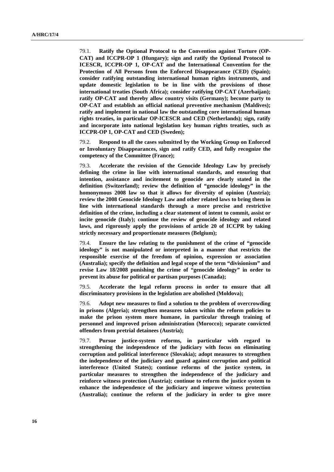79.1. **Ratify the Optional Protocol to the Convention against Torture (OP-CAT) and ICCPR-OP 1 (Hungary); sign and ratify the Optional Protocol to ICESCR, ICCPR-OP 1, OP-CAT and the International Convention for the Protection of All Persons from the Enforced Disappearance (CED) (Spain); consider ratifying outstanding international human rights instruments, and update domestic legislation to be in line with the provisions of those international treaties (South Africa); consider ratifying OP-CAT (Azerbaijan); ratify OP-CAT and thereby allow country visits (Germany); become party to OP-CAT and establish an official national preventive mechanism (Maldives); ratify and implement in national law the outstanding core international human rights treaties, in particular OP-ICESCR and CED (Netherlands); sign, ratify and incorporate into national legislation key human rights treaties, such as ICCPR-OP 1, OP-CAT and CED (Sweden);** 

79.2. **Respond to all the cases submitted by the Working Group on Enforced or Involuntary Disappearances, sign and ratify CED, and fully recognize the competency of the Committee (France);** 

79.3. **Accelerate the revision of the Genocide Ideology Law by precisely defining the crime in line with international standards, and ensuring that intention, assistance and incitement to genocide are clearly stated in the definition (Switzerland); review the definition of "genocide ideology" in the homonymous 2008 law so that it allows for diversity of opinion (Austria); review the 2008 Genocide Ideology Law and other related laws to bring them in line with international standards through a more precise and restrictive definition of the crime, including a clear statement of intent to commit, assist or incite genocide (Italy); continue the review of genocide ideology and related laws, and rigorously apply the provisions of article 20 of ICCPR by taking strictly necessary and proportionate measures (Belgium);** 

79.4. **Ensure the law relating to the punishment of the crime of "genocide ideology" is not manipulated or interpreted in a manner that restricts the responsible exercise of the freedom of opinion, expression or association (Australia); specify the definition and legal scope of the term "divisionism" and revise Law 18/2008 punishing the crime of "genocide ideology" in order to prevent its abuse for political or partisan purposes (Canada);** 

79.5. **Accelerate the legal reform process in order to ensure that all discriminatory provisions in the legislation are abolished (Moldova);** 

79.6. **Adopt new measures to find a solution to the problem of overcrowding in prisons (Algeria); strengthen measures taken within the reform policies to make the prison system more humane, in particular through training of personnel and improved prison administration (Morocco); separate convicted offenders from pretrial detainees (Austria);** 

79.7. **Pursue justice-system reforms, in particular with regard to strengthening the independence of the judiciary with focus on eliminating corruption and political interference (Slovakia); adopt measures to strengthen the independence of the judiciary and guard against corruption and political interference (United States); continue reforms of the justice system, in particular measures to strengthen the independence of the judiciary and reinforce witness protection (Austria); continue to reform the justice system to enhance the independence of the judiciary and improve witness protection (Australia); continue the reform of the judiciary in order to give more**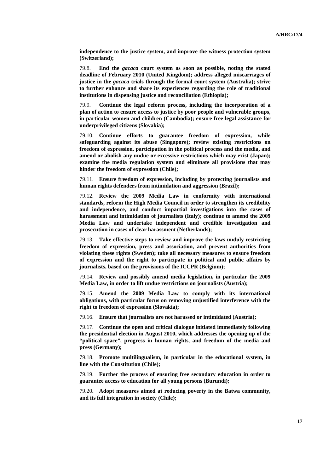**independence to the justice system, and improve the witness protection system (Switzerland);** 

79.8. **End the** *gacaca* **court system as soon as possible, noting the stated deadline of February 2010 (United Kingdom); address alleged miscarriages of justice in the** *gacaca* **trials through the formal court system (Australia); strive to further enhance and share its experiences regarding the role of traditional institutions in dispensing justice and reconciliation (Ethiopia);** 

79.9. **Continue the legal reform process, including the incorporation of a plan of action to ensure access to justice by poor people and vulnerable groups, in particular women and children (Cambodia); ensure free legal assistance for underprivileged citizens (Slovakia);** 

79.10. **Continue efforts to guarantee freedom of expression, while safeguarding against its abuse (Singapore); review existing restrictions on freedom of expression, participation in the political process and the media, and amend or abolish any undue or excessive restrictions which may exist (Japan); examine the media regulation system and eliminate all provisions that may hinder the freedom of expression (Chile);** 

79.11. **Ensure freedom of expression, including by protecting journalists and human rights defenders from intimidation and aggression (Brazil);** 

79.12. **Review the 2009 Media Law in conformity with international standards, reform the High Media Council in order to strengthen its credibility and independence, and conduct impartial investigations into the cases of harassment and intimidation of journalists (Italy); continue to amend the 2009 Media Law and undertake independent and credible investigation and prosecution in cases of clear harassment (Netherlands);** 

79.13. **Take effective steps to review and improve the laws unduly restricting freedom of expression, press and association, and prevent authorities from violating these rights (Sweden); take all necessary measures to ensure freedom of expression and the right to participate in political and public affairs by journalists, based on the provisions of the ICCPR (Belgium);** 

79.14. **Review and possibly amend media legislation, in particular the 2009 Media Law, in order to lift undue restrictions on journalists (Austria);** 

79.15. **Amend the 2009 Media Law to comply with its international obligations, with particular focus on removing unjustified interference with the right to freedom of expression (Slovakia);** 

79.16. **Ensure that journalists are not harassed or intimidated (Austria);** 

79.17. **Continue the open and critical dialogue initiated immediately following the presidential election in August 2010, which addresses the opening up of the "political space", progress in human rights, and freedom of the media and press (Germany);** 

79.18. **Promote multilingualism, in particular in the educational system, in line with the Constitution (Chile);** 

79.19. **Further the process of ensuring free secondary education in order to guarantee access to education for all young persons (Burundi);** 

79.20**. Adopt measures aimed at reducing poverty in the Batwa community, and its full integration in society (Chile);**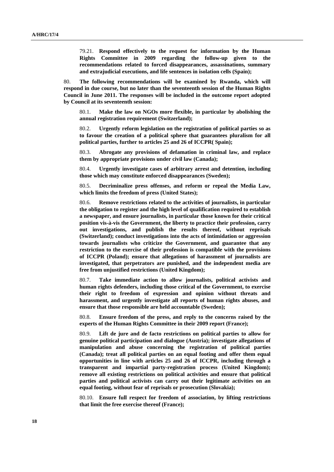79.21. **Respond effectively to the request for information by the Human Rights Committee in 2009 regarding the follow-up given to the recommendations related to forced disappearances, assassinations, summary and extrajudicial executions, and life sentences in isolation cells (Spain);** 

80. **The following recommendations will be examined by Rwanda, which will respond in due course, but no later than the seventeenth session of the Human Rights Council in June 2011. The responses will be included in the outcome report adopted by Council at its seventeenth session:**

80.1. **Make the law on NGOs more flexible, in particular by abolishing the annual registration requirement (Switzerland);**

80.2. **Urgently reform legislation on the registration of political parties so as to favour the creation of a political sphere that guarantees pluralism for all political parties, further to articles 25 and 26 of ICCPR( Spain);**

80.3. **Abrogate any provisions of defamation in criminal law, and replace them by appropriate provisions under civil law (Canada);**

80.4. **Urgently investigate cases of arbitrary arrest and detention, including those which may constitute enforced disappearances (Sweden);**

80.5. **Decriminalize press offenses, and reform or repeal the Media Law, which limits the freedom of press (United States);**

80.6. **Remove restrictions related to the activities of journalists, in particular the obligation to register and the high level of qualification required to establish a newspaper, and ensure journalists, in particular those known for their critical position vis-à-vis the Government, the liberty to practice their profession, carry out investigations, and publish the results thereof, without reprisals (Switzerland); conduct investigations into the acts of intimidation or aggression towards journalists who criticize the Government, and guarantee that any restriction to the exercise of their profession is compatible with the provisions of ICCPR (Poland); ensure that allegations of harassment of journalists are investigated, that perpetrators are punished, and the independent media are free from unjustified restrictions (United Kingdom);** 

80.7. **Take immediate action to allow journalists, political activists and human rights defenders, including those critical of the Government, to exercise their right to freedom of expression and opinion without threats and harassment, and urgently investigate all reports of human rights abuses, and ensure that those responsible are held accountable (Sweden);**

80.8. **Ensure freedom of the press, and reply to the concerns raised by the experts of the Human Rights Committee in their 2009 report (France);**

80.9. **Lift de jure and de facto restrictions on political parties to allow for genuine political participation and dialogue (Austria); investigate allegations of manipulation and abuse concerning the registration of political parties (Canada); treat all political parties on an equal footing and offer them equal opportunities in line with articles 25 and 26 of ICCPR, including through a transparent and impartial party-registration process (United Kingdom); remove all existing restrictions on political activities and ensure that political parties and political activists can carry out their legitimate activities on an equal footing, without fear of reprisals or prosecution (Slovakia);** 

80.10. **Ensure full respect for freedom of association, by lifting restrictions that limit the free exercise thereof (France);**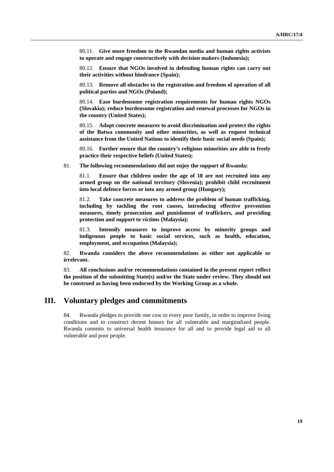80.11. **Give more freedom to the Rwandan media and human rights activists to operate and engage constructively with decision makers (Indonesia);** 

80.12. **Ensure that NGOs involved in defending human rights can carry out their activities without hindrance (Spain);**

80.13. **Remove all obstacles to the registration and freedom of operation of all political parties and NGOs (Poland);**

80.14. **Ease burdensome registration requirements for human rights NGOs (Slovakia); reduce burdensome registration and renewal processes for NGOs in the country (United States);**

80.15. **Adopt concrete measures to avoid discrimination and protect the rights of the Batwa community and other minorities, as well as request technical assistance from the United Nations to identify their basic social needs (Spain);** 

80.16. **Further ensure that the country's religious minorities are able to freely practice their respective beliefs (United States);** 

81. **The following recommendations did not enjoy the support of Rwanda:**

81.1. **Ensure that children under the age of 18 are not recruited into any armed group on the national territory (Slovenia); prohibit child recruitment into local defence forces or into any armed group (Hungary);** 

81.2. **Take concrete measures to address the problem of human trafficking, including by tackling the root causes, introducing effective prevention measures, timely prosecution and punishment of traffickers, and providing protection and support to victims (Malaysia);**

81.3. **Intensify measures to improve access by minority groups and indigenous people to basic social services, such as health, education, employment, and occupation (Malaysia);**

82. **Rwanda considers the above recommendations as either not applicable or irrelevant.** 

83. **All conclusions and/or recommendations contained in the present report reflect the position of the submitting State(s) and/or the State under review. They should not be construed as having been endorsed by the Working Group as a whole.**

### **III. Voluntary pledges and commitments**

84. Rwanda pledges to provide one cow to every poor family, in order to improve living conditions and to construct decent houses for all vulnerable and marginalized people. Rwanda commits to universal health insurance for all and to provide legal aid to all vulnerable and poor people.